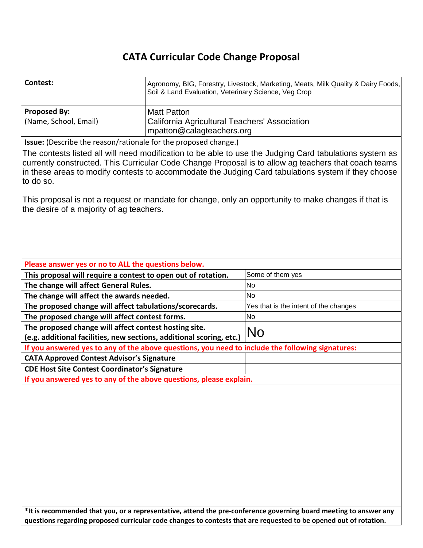# **CATA Curricular Code Change Proposal**

| Contest:                                                                                                                                                                                                                                                                                                                            | Agronomy, BIG, Forestry, Livestock, Marketing, Meats, Milk Quality & Dairy Foods,<br>Soil & Land Evaluation, Veterinary Science, Veg Crop |                                       |  |
|-------------------------------------------------------------------------------------------------------------------------------------------------------------------------------------------------------------------------------------------------------------------------------------------------------------------------------------|-------------------------------------------------------------------------------------------------------------------------------------------|---------------------------------------|--|
| <b>Proposed By:</b>                                                                                                                                                                                                                                                                                                                 | <b>Matt Patton</b>                                                                                                                        |                                       |  |
| (Name, School, Email)                                                                                                                                                                                                                                                                                                               | California Agricultural Teachers' Association                                                                                             |                                       |  |
|                                                                                                                                                                                                                                                                                                                                     | mpatton@calagteachers.org                                                                                                                 |                                       |  |
| Issue: (Describe the reason/rationale for the proposed change.)                                                                                                                                                                                                                                                                     |                                                                                                                                           |                                       |  |
| The contests listed all will need modification to be able to use the Judging Card tabulations system as<br>currently constructed. This Curricular Code Change Proposal is to allow ag teachers that coach teams<br>in these areas to modify contests to accommodate the Judging Card tabulations system if they choose<br>to do so. |                                                                                                                                           |                                       |  |
| This proposal is not a request or mandate for change, only an opportunity to make changes if that is<br>the desire of a majority of ag teachers.                                                                                                                                                                                    |                                                                                                                                           |                                       |  |
| Please answer yes or no to ALL the questions below.                                                                                                                                                                                                                                                                                 |                                                                                                                                           |                                       |  |
| This proposal will require a contest to open out of rotation.                                                                                                                                                                                                                                                                       |                                                                                                                                           | Some of them yes                      |  |
| The change will affect General Rules.                                                                                                                                                                                                                                                                                               |                                                                                                                                           | No                                    |  |
| The change will affect the awards needed.                                                                                                                                                                                                                                                                                           |                                                                                                                                           | <b>No</b>                             |  |
| The proposed change will affect tabulations/scorecards.                                                                                                                                                                                                                                                                             |                                                                                                                                           | Yes that is the intent of the changes |  |
| The proposed change will affect contest forms.                                                                                                                                                                                                                                                                                      |                                                                                                                                           | <b>No</b>                             |  |
| The proposed change will affect contest hosting site.                                                                                                                                                                                                                                                                               |                                                                                                                                           | No                                    |  |
| (e.g. additional facilities, new sections, additional scoring, etc.)                                                                                                                                                                                                                                                                |                                                                                                                                           |                                       |  |
| If you answered yes to any of the above questions, you need to include the following signatures:                                                                                                                                                                                                                                    |                                                                                                                                           |                                       |  |
| <b>CATA Approved Contest Advisor's Signature</b>                                                                                                                                                                                                                                                                                    |                                                                                                                                           |                                       |  |
| <b>CDE Host Site Contest Coordinator's Signature</b>                                                                                                                                                                                                                                                                                |                                                                                                                                           |                                       |  |
| If you answered yes to any of the above questions, please explain.                                                                                                                                                                                                                                                                  |                                                                                                                                           |                                       |  |
|                                                                                                                                                                                                                                                                                                                                     |                                                                                                                                           |                                       |  |

**\*It is recommended that you, or a representative, attend the pre-conference governing board meeting to answer any questions regarding proposed curricular code changes to contests that are requested to be opened out of rotation.**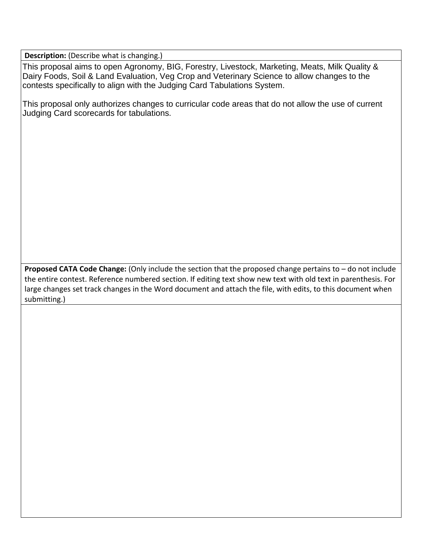**Description:** (Describe what is changing.)

This proposal aims to open Agronomy, BIG, Forestry, Livestock, Marketing, Meats, Milk Quality & Dairy Foods, Soil & Land Evaluation, Veg Crop and Veterinary Science to allow changes to the contests specifically to align with the Judging Card Tabulations System.

This proposal only authorizes changes to curricular code areas that do not allow the use of current Judging Card scorecards for tabulations.

**Proposed CATA Code Change:** (Only include the section that the proposed change pertains to – do not include the entire contest. Reference numbered section. If editing text show new text with old text in parenthesis. For large changes set track changes in the Word document and attach the file, with edits, to this document when submitting.)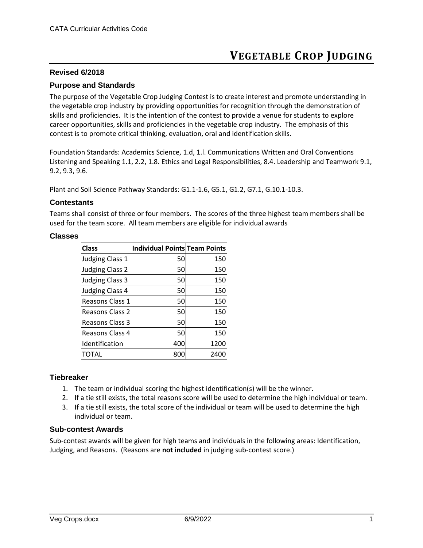# **VEGETABLE CROP JUDGING**

#### **Revised 6/2018**

#### **Purpose and Standards**

The purpose of the Vegetable Crop Judging Contest is to create interest and promote understanding in the vegetable crop industry by providing opportunities for recognition through the demonstration of skills and proficiencies. It is the intention of the contest to provide a venue for students to explore career opportunities, skills and proficiencies in the vegetable crop industry. The emphasis of this contest is to promote critical thinking, evaluation, oral and identification skills.

Foundation Standards: Academics Science, 1.d, 1.l. Communications Written and Oral Conventions Listening and Speaking 1.1, 2.2, 1.8. Ethics and Legal Responsibilities, 8.4. Leadership and Teamwork 9.1, 9.2, 9.3, 9.6.

Plant and Soil Science Pathway Standards: G1.1-1.6, G5.1, G1.2, G7.1, G.10.1-10.3.

#### **Contestants**

Teams shall consist of three or four members. The scores of the three highest team members shall be used for the team score. All team members are eligible for individual awards

#### **Classes**

| <b>Class</b>           | <b>Individual Points Team Points</b> |      |
|------------------------|--------------------------------------|------|
| <b>Judging Class 1</b> | 50                                   | 150  |
| <b>Judging Class 2</b> | 50                                   | 150  |
| <b>Judging Class 3</b> | 50                                   | 150  |
| <b>Judging Class 4</b> | 50                                   | 150  |
| Reasons Class 1        | 50                                   | 150  |
| Reasons Class 2        | 50                                   | 150  |
| Reasons Class 3        | 50                                   | 150  |
| Reasons Class 4        | 50                                   | 150  |
| Identification         | 400                                  | 1200 |
| TOTAL                  | 800                                  | 2400 |

#### **Tiebreaker**

- 1. The team or individual scoring the highest identification(s) will be the winner.
- 2. If a tie still exists, the total reasons score will be used to determine the high individual or team.
- 3. If a tie still exists, the total score of the individual or team will be used to determine the high individual or team.

#### **Sub-contest Awards**

Sub-contest awards will be given for high teams and individuals in the following areas: Identification, Judging, and Reasons. (Reasons are **not included** in judging sub-contest score.)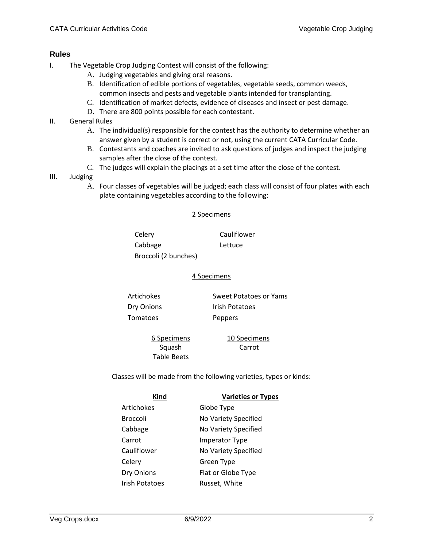# **Rules**

- I. The Vegetable Crop Judging Contest will consist of the following:
	- A. Judging vegetables and giving oral reasons.
	- B. Identification of edible portions of vegetables, vegetable seeds, common weeds, common insects and pests and vegetable plants intended for transplanting.
	- C. Identification of market defects, evidence of diseases and insect or pest damage.
	- D. There are 800 points possible for each contestant.
- II. General Rules
	- A. The individual(s) responsible for the contest has the authority to determine whether an answer given by a student is correct or not, using the current CATA Curricular Code.
	- B. Contestants and coaches are invited to ask questions of judges and inspect the judging samples after the close of the contest.
	- C. The judges will explain the placings at a set time after the close of the contest.
- III. Judging
	- A. Four classes of vegetables will be judged; each class will consist of four plates with each plate containing vegetables according to the following:

## 2 Specimens

Celery Cauliflower Cabbage Lettuce Broccoli (2 bunches)

#### 4 Specimens

Dry Onions Irish Potatoes Tomatoes Peppers

Artichokes Sweet Potatoes or Yams

6 Specimens Squash Table Beets

10 Specimens Carrot

Classes will be made from the following varieties, types or kinds:

| 1 I I<br>μ<br>╌<br>۰ |
|----------------------|
|----------------------|

**Varieties or Types** 

| Artichokes     | Globe Type            |
|----------------|-----------------------|
| Broccoli       | No Variety Specified  |
| Cabbage        | No Variety Specified  |
| Carrot         | <b>Imperator Type</b> |
| Cauliflower    | No Variety Specified  |
| Celery         | Green Type            |
| Dry Onions     | Flat or Globe Type    |
| Irish Potatoes | Russet, White         |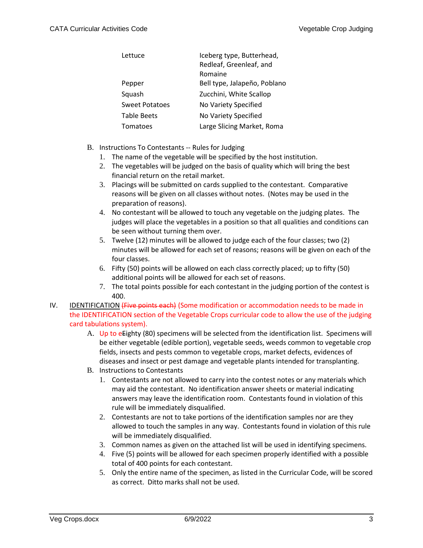| Lettuce               | Iceberg type, Butterhead,<br>Redleaf, Greenleaf, and<br>Romaine |
|-----------------------|-----------------------------------------------------------------|
| Pepper                | Bell type, Jalapeño, Poblano                                    |
| Squash                | Zucchini, White Scallop                                         |
| <b>Sweet Potatoes</b> | No Variety Specified                                            |
| <b>Table Beets</b>    | No Variety Specified                                            |
| Tomatoes              | Large Slicing Market, Roma                                      |

- B. Instructions To Contestants -- Rules for Judging
	- 1. The name of the vegetable will be specified by the host institution.
	- 2. The vegetables will be judged on the basis of quality which will bring the best financial return on the retail market.
	- 3. Placings will be submitted on cards supplied to the contestant. Comparative reasons will be given on all classes without notes. (Notes may be used in the preparation of reasons).
	- 4. No contestant will be allowed to touch any vegetable on the judging plates. The judges will place the vegetables in a position so that all qualities and conditions can be seen without turning them over.
	- 5. Twelve (12) minutes will be allowed to judge each of the four classes; two (2) minutes will be allowed for each set of reasons; reasons will be given on each of the four classes.
	- 6. Fifty (50) points will be allowed on each class correctly placed; up to fifty (50) additional points will be allowed for each set of reasons.
	- 7. The total points possible for each contestant in the judging portion of the contest is 400.
- IV. IDENTIFICATION (Five points each) (Some modification or accommodation needs to be made in the IDENTIFICATION section of the Vegetable Crops curricular code to allow the use of the judging card tabulations system).
	- A. Up to eEighty (80) specimens will be selected from the identification list. Specimens will be either vegetable (edible portion), vegetable seeds, weeds common to vegetable crop fields, insects and pests common to vegetable crops, market defects, evidences of diseases and insect or pest damage and vegetable plants intended for transplanting.
	- B. Instructions to Contestants
		- 1. Contestants are not allowed to carry into the contest notes or any materials which may aid the contestant. No identification answer sheets or material indicating answers may leave the identification room. Contestants found in violation of this rule will be immediately disqualified.
		- 2. Contestants are not to take portions of the identification samples nor are they allowed to touch the samples in any way. Contestants found in violation of this rule will be immediately disqualified.
		- 3. Common names as given on the attached list will be used in identifying specimens.
		- 4. Five (5) points will be allowed for each specimen properly identified with a possible total of 400 points for each contestant.
		- 5. Only the entire name of the specimen, as listed in the Curricular Code, will be scored as correct. Ditto marks shall not be used.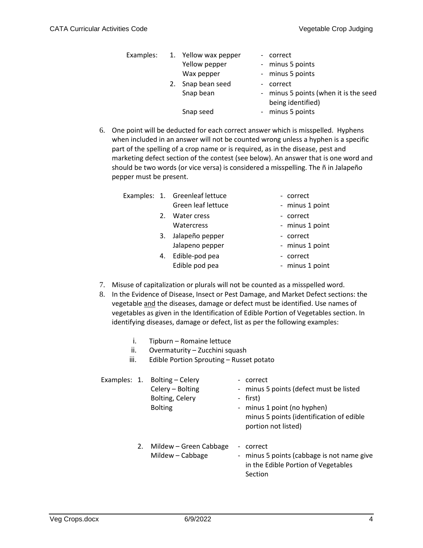|    | Examples: 1. Yellow wax pepper | - correct                                                  |
|----|--------------------------------|------------------------------------------------------------|
|    | Yellow pepper                  | - minus 5 points                                           |
|    | Wax pepper                     | - minus 5 points                                           |
| 2. | Snap bean seed                 | - correct                                                  |
|    | Snap bean                      | - minus 5 points (when it is the seed<br>being identified) |
|    | Snap seed                      | - minus 5 points                                           |

6. One point will be deducted for each correct answer which is misspelled. Hyphens when included in an answer will not be counted wrong unless a hyphen is a specific part of the spelling of a crop name or is required, as in the disease, pest and marketing defect section of the contest (see below). An answer that is one word and should be two words (or vice versa) is considered a misspelling. The ñ in Jalapeño pepper must be present.

|  | Examples: 1. Greenleaf lettuce |
|--|--------------------------------|
|  | Green leaf lettuce             |
|  | 2. Water cress                 |
|  | Watercress                     |

- 3. Jalapeño pepper Jalapeno pepper
- 4. Edible-pod pea Edible pod pea
- correct
- minus 1 point
- correct
- minus 1 point
- correct
- minus 1 point
- correct
- minus 1 point
- 7. Misuse of capitalization or plurals will not be counted as a misspelled word.
- 8. In the Evidence of Disease, Insect or Pest Damage, and Market Defect sections: the vegetable and the diseases, damage or defect must be identified. Use names of vegetables as given in the Identification of Edible Portion of Vegetables section. In identifying diseases, damage or defect, list as per the following examples:
	- i. Tipburn Romaine lettuce
	- ii. Overmaturity Zucchini squash
	- iii. Edible Portion Sprouting Russet potato

|  | Examples: 1. Bolting - Celery<br>Celery - Bolting<br>Bolting, Celery<br><b>Bolting</b> | correct<br>- minus 5 points (defect must be listed<br>- first)<br>- minus 1 point (no hyphen)<br>minus 5 points (identification of edible<br>portion not listed) |
|--|----------------------------------------------------------------------------------------|------------------------------------------------------------------------------------------------------------------------------------------------------------------|
|  | 2. Mildew – Green Cabbage<br>Mildew - Cabbage                                          | correct<br>minus 5 points (cabbage is not name give<br>in the Edible Portion of Vegetables<br>Section                                                            |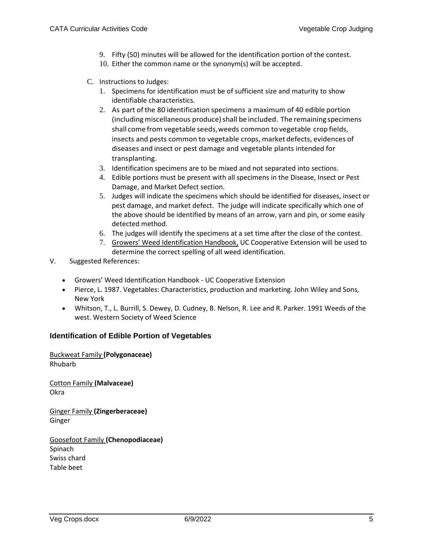- 9. Fifty (50) minutes will be allowed for the identification portion of the contest.
- 10. Either the common name or the synonym(s) will be accepted.
- C. Instructions to Judges:
	- 1. Specimens for identification must be of sufficient size and maturity to show identifiable characteristics.
	- 2. As part of the 80 identification specimens a maximum of 40 edible portion (including miscellaneous produce) shall be included. The remaining specimens shall come from vegetable seeds,weeds common to vegetable crop fields, insects and pests common to vegetable crops, market defects, evidences of diseases and insect or pest damage and vegetable plants intended for transplanting.
	- 3. Identification specimens are to be mixed and not separated into sections.
	- 4. Edible portions must be present with all specimens in the Disease, Insect or Pest Damage, and Market Defect section.
	- 5. Judges will indicate the specimens which should be identified for diseases, insect or pest damage, and market defect. The judge will indicate specifically which one of the above should be identified by means of an arrow, yarn and pin, or some easily detected method.
	- 6. The judges will identify the specimens at a set time after the close of the contest.
	- 7. Growers' Weed Identification Handbook, UC Cooperative Extension will be used to determine the correct spelling of all weed identification.
- V. Suggested References:
	- Growers' Weed Identification Handbook UC Cooperative Extension
	- Pierce, L. 1987. Vegetables: Characteristics, production and marketing. John Wiley and Sons, New York
	- Whitson, T., L. Burrill, S. Dewey, D. Cudney, B. Nelson, R. Lee and R. Parker. 1991 Weeds of the west. Western Society of Weed Science

# **Identification of Edible Portion of Vegetables**

Buckweat Family **(Polygonaceae)** Rhubarb

Cotton Family **(Malvaceae)** Okra

Ginger Family **(Zingerberaceae)** Ginger

Goosefoot Family **(Chenopodiaceae)** Spinach Swiss chard Table beet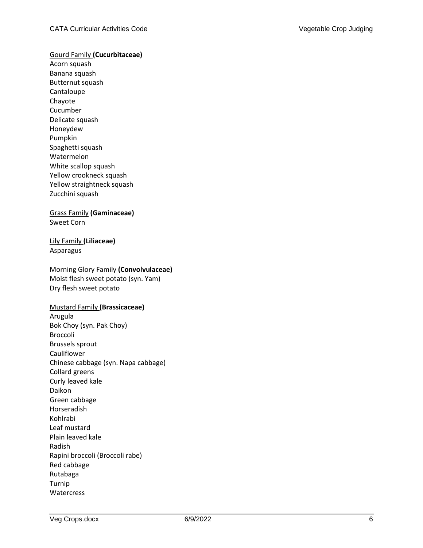#### Gourd Family **(Cucurbitaceae)**

Acorn squash Banana squash Butternut squash Cantaloupe Chayote Cucumber Delicate squash Honeydew Pumpkin Spaghetti squash Watermelon White scallop squash Yellow crookneck squash Yellow straightneck squash Zucchini squash

## Grass Family **(Gaminaceae)** Sweet Corn

Lily Family **(Liliaceae)** Asparagus

## Morning Glory Family **(Convolvulaceae)** Moist flesh sweet potato (syn. Yam) Dry flesh sweet potato

#### Mustard Family **(Brassicaceae)**

Arugula Bok Choy (syn. Pak Choy) Broccoli Brussels sprout Cauliflower Chinese cabbage (syn. Napa cabbage) Collard greens Curly leaved kale Daikon Green cabbage Horseradish Kohlrabi Leaf mustard Plain leaved kale Radish Rapini broccoli (Broccoli rabe) Red cabbage Rutabaga Turnip **Watercress**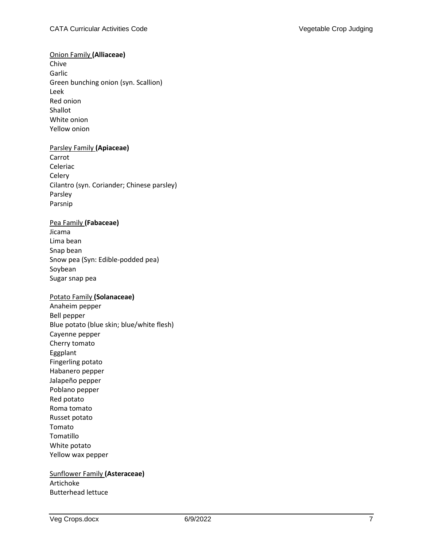# Onion Family **(Alliaceae)**

Chive Garlic Green bunching onion (syn. Scallion) Leek Red onion Shallot White onion Yellow onion

#### Parsley Family **(Apiaceae)**

Carrot Celeriac **Celery** Cilantro (syn. Coriander; Chinese parsley) Parsley Parsnip

## Pea Family **(Fabaceae)**

Jicama Lima bean Snap bean Snow pea (Syn: Edible-podded pea) Soybean Sugar snap pea

# Potato Family **(Solanaceae)**

Anaheim pepper Bell pepper Blue potato (blue skin; blue/white flesh) Cayenne pepper Cherry tomato Eggplant Fingerling potato Habanero pepper Jalapeño pepper Poblano pepper Red potato Roma tomato Russet potato Tomato Tomatillo White potato Yellow wax pepper

# Sunflower Family **(Asteraceae)** Artichoke Butterhead lettuce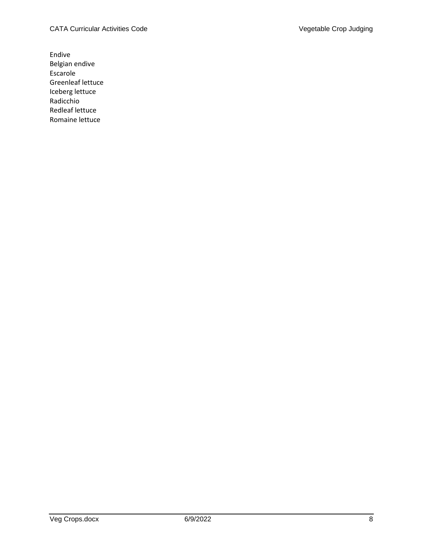Endive Belgian endive Escarole Greenleaf lettuce Iceberg lettuce Radicchio Redleaf lettuce Romaine lettuce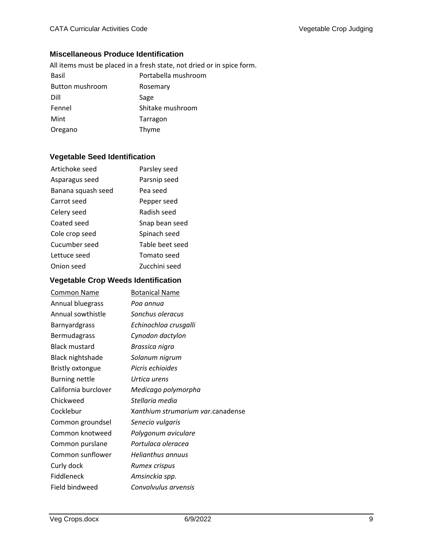# **Miscellaneous Produce Identification**

|                 | All items must be placed in a fresh state, not dried or in spice form. |
|-----------------|------------------------------------------------------------------------|
| Basil           | Portabella mushroom                                                    |
| Button mushroom | Rosemary                                                               |
| Dill            | Sage                                                                   |
| Fennel          | Shitake mushroom                                                       |
| Mint            | Tarragon                                                               |
| Oregano         | Thyme                                                                  |

# **Vegetable Seed Identification**

| Artichoke seed     | Parsley seed    |
|--------------------|-----------------|
| Asparagus seed     | Parsnip seed    |
| Banana squash seed | Pea seed        |
| Carrot seed        | Pepper seed     |
| Celery seed        | Radish seed     |
| Coated seed        | Snap bean seed  |
| Cole crop seed     | Spinach seed    |
| Cucumber seed      | Table beet seed |
| Lettuce seed       | Tomato seed     |
| Onion seed         | Zucchini seed   |

# **Vegetable Crop Weeds Identification**

| <b>Common Name</b>      | <b>Botanical Name</b>             |
|-------------------------|-----------------------------------|
| Annual bluegrass        | Poa annua                         |
| Annual sowthistle       | Sonchus oleracus                  |
| <b>Barnyardgrass</b>    | Echinochloa crusgalli             |
| Bermudagrass            | Cynodon dactylon                  |
| <b>Black mustard</b>    | Brassica nigra                    |
| <b>Black nightshade</b> | Solanum nigrum                    |
| <b>Bristly oxtongue</b> | Picris echioides                  |
| Burning nettle          | Urtica urens                      |
| California burclover    | Medicago polymorpha               |
| Chickweed               | Stellaria media                   |
| Cocklebur               | Xanthium strumarium var.canadense |
| Common groundsel        | Senecio vulgaris                  |
| Common knotweed         | Polygonum aviculare               |
| Common purslane         | Portulaca oleracea                |
| Common sunflower        | <b>Helianthus annuus</b>          |
| Curly dock              | Rumex crispus                     |
| Fiddleneck              | Amsinckia spp.                    |
| Field bindweed          | Convolvulus arvensis              |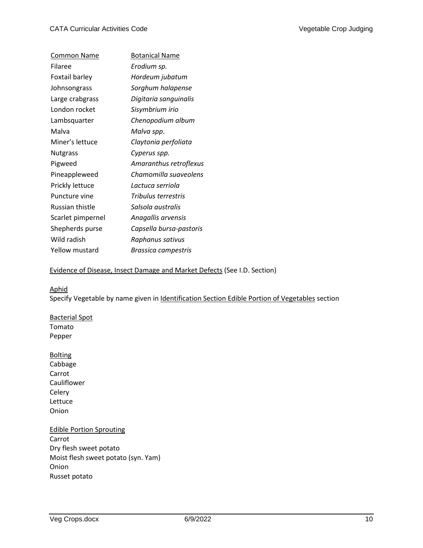| <b>Common Name</b> | <b>Botanical Name</b>   |
|--------------------|-------------------------|
| Filaree            | Erodium sp.             |
| Foxtail barley     | Hordeum jubatum         |
| Johnsongrass       | Sorghum halapense       |
| Large crabgrass    | Digitaria sanguinalis   |
| London rocket      | Sisymbrium irio         |
| Lambsquarter       | Chenopodium album       |
| Malva              | Malva spp.              |
| Miner's lettuce    | Claytonia perfoliata    |
| <b>Nutgrass</b>    | Cyperus spp.            |
| Pigweed            | Amaranthus retroflexus  |
| Pineappleweed      | Chamomilla suaveolens   |
| Prickly lettuce    | Lactuca serriola        |
| Puncture vine      | Tribulus terrestris     |
| Russian thistle    | Salsola australis       |
| Scarlet pimpernel  | Anagallis arvensis      |
| Shepherds purse    | Capsella bursa-pastoris |
| Wild radish        | Raphanus sativus        |
| Yellow mustard     | Brassica campestris     |

# Evidence of Disease, Insect Damage and Market Defects (See I.D. Section)

## Aphid

Specify Vegetable by name given in Identification Section Edible Portion of Vegetables section

# Bacterial Spot Tomato Pepper

**Bolting** Cabbage Carrot Cauliflower Celery Lettuce Onion

# Edible Portion Sprouting Carrot Dry flesh sweet potato Moist flesh sweet potato (syn. Yam) Onion Russet potato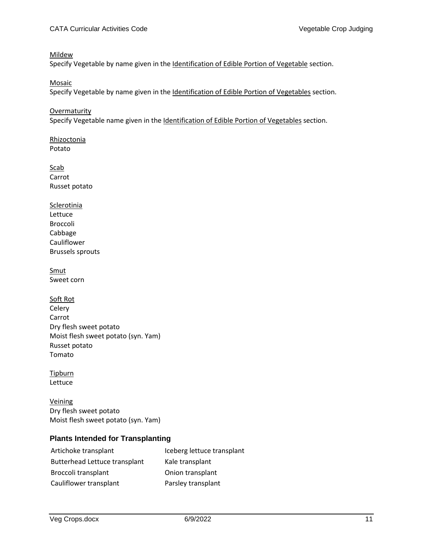#### Mildew

Specify Vegetable by name given in the Identification of Edible Portion of Vegetable section.

Mosaic

Specify Vegetable by name given in the Identification of Edible Portion of Vegetables section.

**Overmaturity** Specify Vegetable name given in the Identification of Edible Portion of Vegetables section.

Rhizoctonia Potato

**Scab** Carrot Russet potato

**Sclerotinia** Lettuce Broccoli Cabbage Cauliflower Brussels sprouts

Smut Sweet corn

Soft Rot Celery Carrot Dry flesh sweet potato Moist flesh sweet potato (syn. Yam) Russet potato Tomato

**Tipburn** Lettuce

Veining Dry flesh sweet potato Moist flesh sweet potato (syn. Yam)

# **Plants Intended for Transplanting**

| Artichoke transplant                 | Iceberg lettuce transplant |
|--------------------------------------|----------------------------|
| <b>Butterhead Lettuce transplant</b> | Kale transplant            |
| Broccoli transplant                  | Onion transplant           |
| Cauliflower transplant               | Parsley transplant         |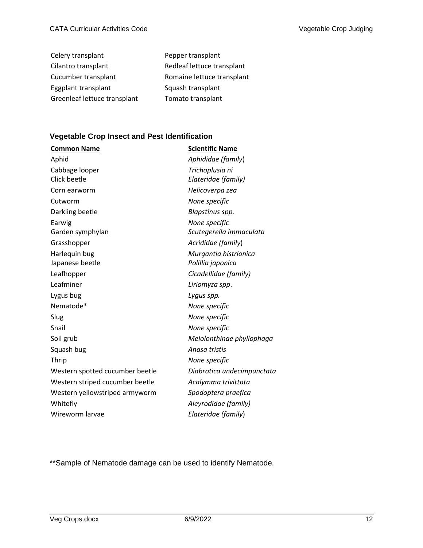| Celery transplant            | Pepper transplant          |
|------------------------------|----------------------------|
| Cilantro transplant          | Redleaf lettuce transplant |
| Cucumber transplant          | Romaine lettuce transplant |
| Eggplant transplant          | Squash transplant          |
| Greenleaf lettuce transplant | Tomato transplant          |

# **Vegetable Crop Insect and Pest Identification**

| <b>Common Name</b>              | <b>Scientific Name</b>     |  |
|---------------------------------|----------------------------|--|
| Aphid                           | Aphididae (family)         |  |
| Cabbage looper                  | Trichoplusia ni            |  |
| Click beetle                    | Elateridae (family)        |  |
| Corn earworm                    | Helicoverpa zea            |  |
| Cutworm                         | None specific              |  |
| Darkling beetle                 | Blapstinus spp.            |  |
| Earwig                          | None specific              |  |
| Garden symphylan                | Scutegerella immaculata    |  |
| Grasshopper                     | Acrididae (family)         |  |
| Harlequin bug                   | Murgantia histrionica      |  |
| Japanese beetle                 | Polillia japonica          |  |
| Leafhopper                      | Cicadellidae (family)      |  |
| Leafminer                       | Liriomyza spp.             |  |
| Lygus bug                       | Lygus spp.                 |  |
| Nematode*                       | None specific              |  |
| Slug                            | None specific              |  |
| Snail                           | None specific              |  |
| Soil grub                       | Melolonthinae phyllophaga  |  |
| Squash bug                      | Anasa tristis              |  |
| Thrip                           | None specific              |  |
| Western spotted cucumber beetle | Diabrotica undecimpunctata |  |
| Western striped cucumber beetle | Acalymma trivittata        |  |
| Western yellowstriped armyworm  | Spodoptera praefica        |  |
| Whitefly                        | Aleyrodidae (family)       |  |
| Wireworm larvae                 | Elateridae (family)        |  |

\*\*Sample of Nematode damage can be used to identify Nematode.